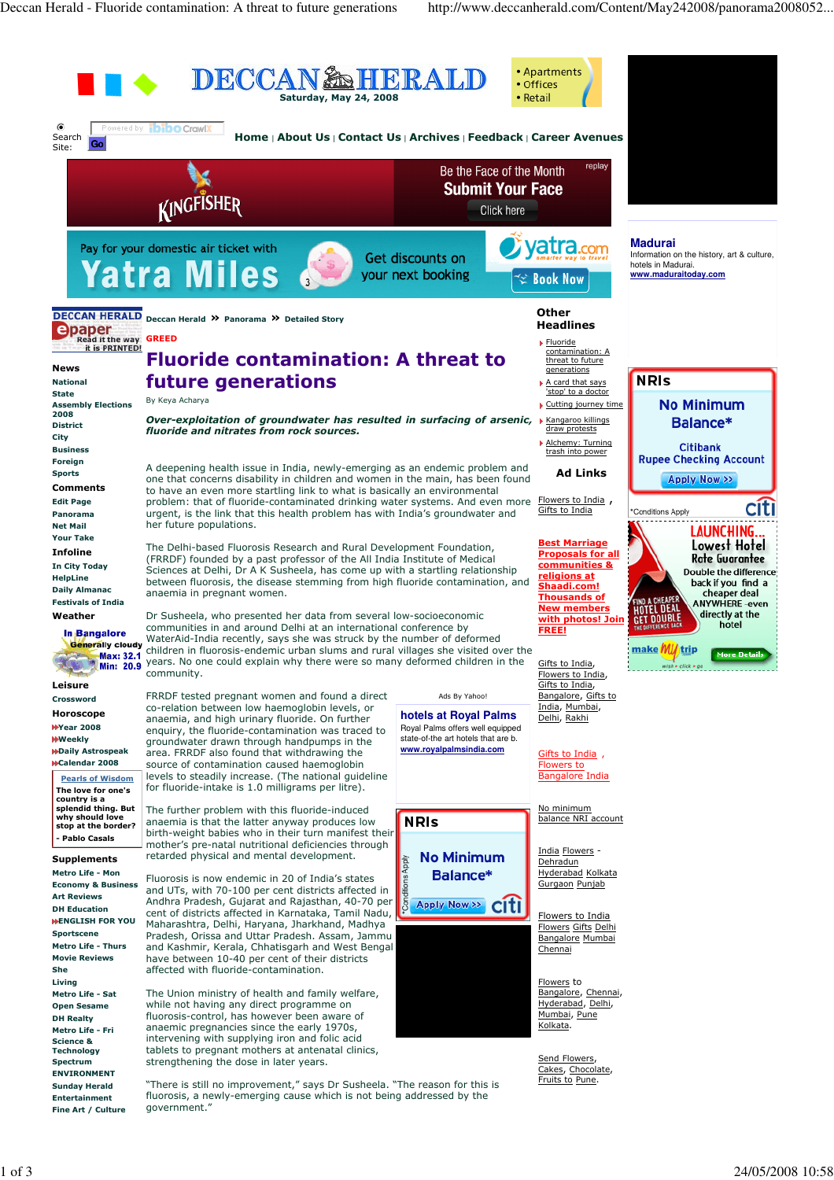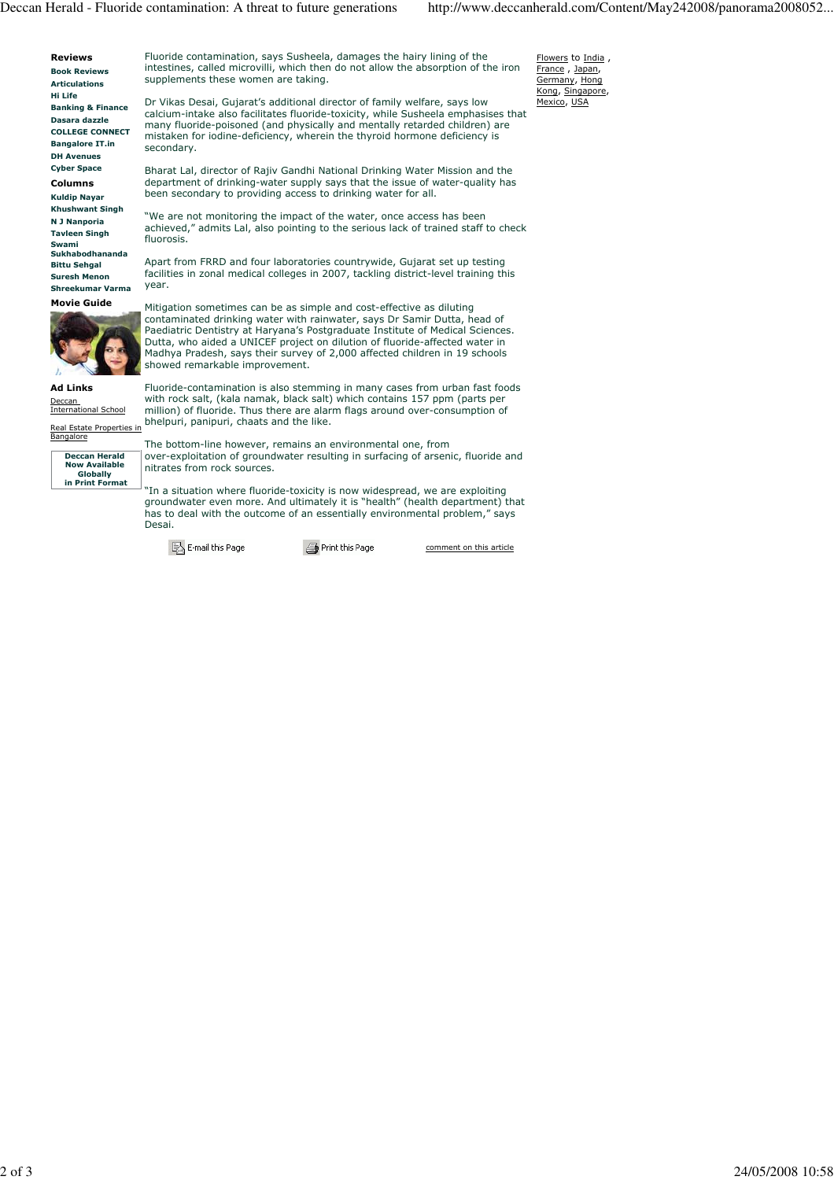Flowers to India, France , Japan, Germany, Hong Kong, Singapore, Mexico, USA



Fluoride contamination, says Susheela, damages the hairy lining of the intestines, called microvilli, which then do not allow the absorption of the iron supplements these women are taking.

Dr Vikas Desai, Gujarat's additional director of family welfare, says low calcium-intake also facilitates fluoride-toxicity, while Susheela emphasises that many fluoride-poisoned (and physically and mentally retarded children) are mistaken for iodine-deficiency, wherein the thyroid hormone deficiency is secondary.

Bharat Lal, director of Rajiv Gandhi National Drinking Water Mission and the department of drinking-water supply says that the issue of water-quality has been secondary to providing access to drinking water for all.

"We are not monitoring the impact of the water, once access has been achieved," admits Lal, also pointing to the serious lack of trained staff to check fluorosis.

Apart from FRRD and four laboratories countrywide, Gujarat set up testing facilities in zonal medical colleges in 2007, tackling district-level training this year.





Ad Links Deccan International School

Bangalore Deccan Herald Now Available Globally in Print Format

eal Estate Properties in

Mitigation sometimes can be as simple and cost-effective as diluting contaminated drinking water with rainwater, says Dr Samir Dutta, head of Paediatric Dentistry at Haryana's Postgraduate Institute of Medical Sciences. Dutta, who aided a UNICEF project on dilution of fluoride-affected water in Madhya Pradesh, says their survey of 2,000 affected children in 19 schools showed remarkable improvement.

Fluoride-contamination is also stemming in many cases from urban fast foods with rock salt, (kala namak, black salt) which contains 157 ppm (parts per million) of fluoride. Thus there are alarm flags around over-consumption of bhelpuri, panipuri, chaats and the like.

The bottom-line however, remains an environmental one, from over-exploitation of groundwater resulting in surfacing of arsenic, fluoride and nitrates from rock sources.

"In a situation where fluoride-toxicity is now widespread, we are exploiting groundwater even more. And ultimately it is "health" (health department) that has to deal with the outcome of an essentially environmental problem," says Desai.

B E-mail this Page

Print this Page

comment on this article